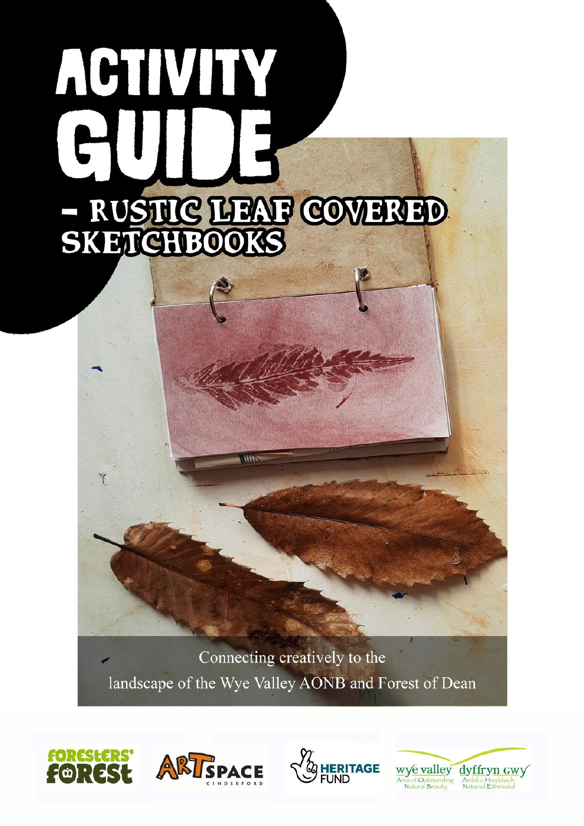# ACTIVITY SKHIGHEOOKS

Connecting creatively to the landscape of the Wye Valley AONB and Forest of Dean







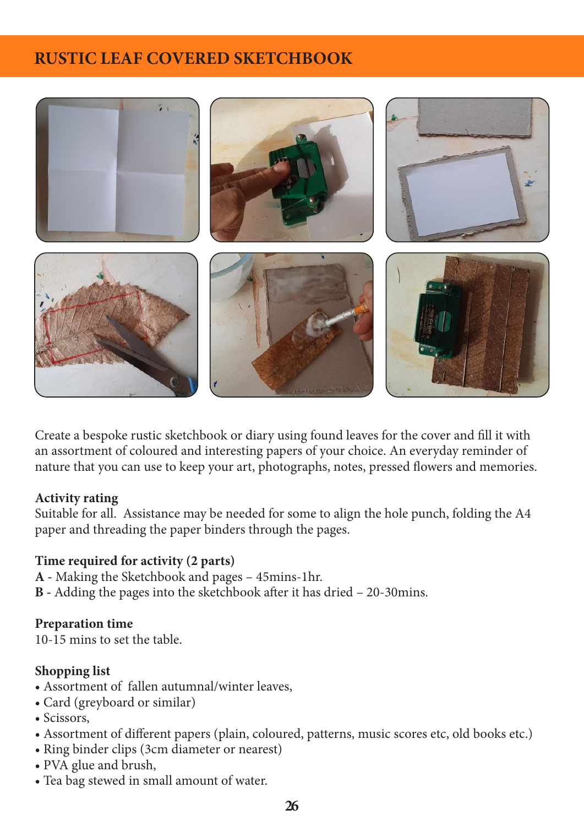## **RUSTIC LEAF COVERED SKETCHBOOK**



Create a bespoke rustic sketchbook or diary using found leaves for the cover and fill it with an assortment of coloured and interesting papers of your choice. An everyday reminder of nature that you can use to keep your art, photographs, notes, pressed flowers and memories.

#### **Activity rating**

Suitable for all. Assistance may be needed for some to align the hole punch, folding the A4 paper and threading the paper binders through the pages.

#### **Time required for activity (2 parts)**

**A -** Making the Sketchbook and pages – 45mins-1hr.

**B -** Adding the pages into the sketchbook after it has dried – 20-30mins.

### **Preparation time**

10-15 mins to set the table.

### **Shopping list**

- Assortment of fallen autumnal/winter leaves,
- Card (greyboard or similar)
- Scissors,
- Assortment of different papers (plain, coloured, patterns, music scores etc, old books etc.)
- Ring binder clips (3cm diameter or nearest)
- PVA glue and brush,
- Tea bag stewed in small amount of water.